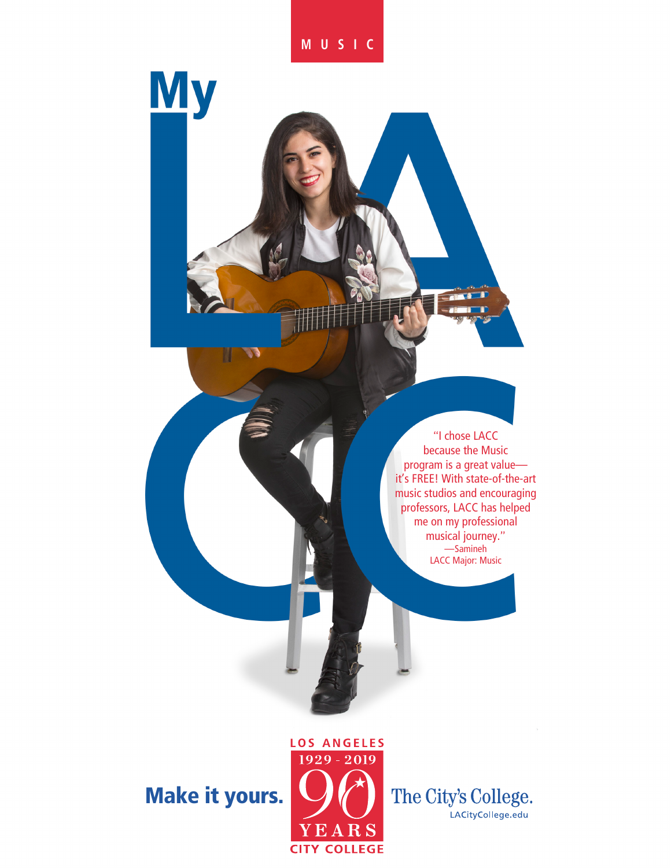### **MUSIC**

**My** 

"I chose LACC because the Music program is a great value it's FREE! With state-of-the-art music studios and encouraging professors, LACC has helped me on my professional musical journey." —Samineh LACC Major: Music

## Make it yours.



The City's College. LACityCollege.edu